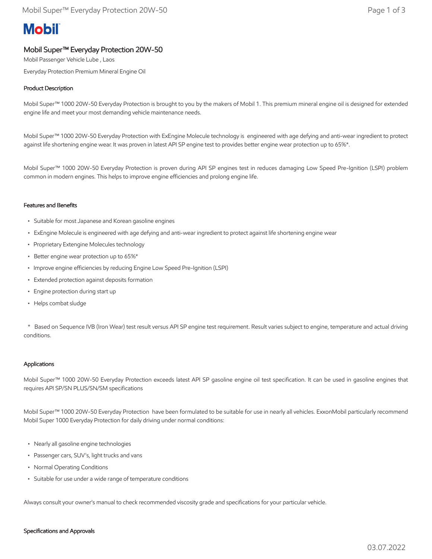# **Mobil**

## Mobil Super™ Everyday Protection 20W-50

Mobil Passenger Vehicle Lube , Laos

Everyday Protection Premium Mineral Engine Oil

### Product Description

Mobil Super™ 1000 20W-50 Everyday Protection is brought to you by the makers of Mobil 1. This premium mineral engine oil is designed for extended engine life and meet your most demanding vehicle maintenance needs.

Mobil Super™ 1000 20W-50 Everyday Protection with ExEngine Molecule technology is engineered with age defying and anti-wear ingredient to protect against life shortening engine wear. It was proven in latest API SP engine test to provides better engine wear protection up to 65%\*.

Mobil Super™ 1000 20W-50 Everyday Protection is proven during API SP engines test in reduces damaging Low Speed Pre-Ignition (LSPI) problem common in modern engines. This helps to improve engine efficiencies and prolong engine life.

#### Features and Benefits

- Suitable for most Japanese and Korean gasoline engines
- ExEngine Molecule is engineered with age defying and anti-wear ingredient to protect against life shortening engine wear
- Proprietary Extengine Molecules technology
- Better engine wear protection up to 65%\*
- Improve engine efficiencies by reducing Engine Low Speed Pre-Ignition (LSPI)
- Extended protection against deposits formation
- Engine protection during start up
- Helps combat sludge

 \* Based on Sequence IVB (Iron Wear) test result versus API SP engine test requirement. Result varies subject to engine, temperature and actual driving conditions.

#### Applications

Mobil Super™ 1000 20W-50 Everyday Protection exceeds latest API SP gasoline engine oil test specification. It can be used in gasoline engines that requires API SP/SN PLUS/SN/SM specifications

Mobil Super™ 1000 20W-50 Everyday Protection have been formulated to be suitable for use in nearly all vehicles. ExxonMobil particularly recommend Mobil Super 1000 Everyday Protection for daily driving under normal conditions:

- Nearly all gasoline engine technologies
- Passenger cars, SUV's, light trucks and vans
- Normal Operating Conditions
- Suitable for use under a wide range of temperature conditions

Always consult your owner's manual to check recommended viscosity grade and specifications for your particular vehicle.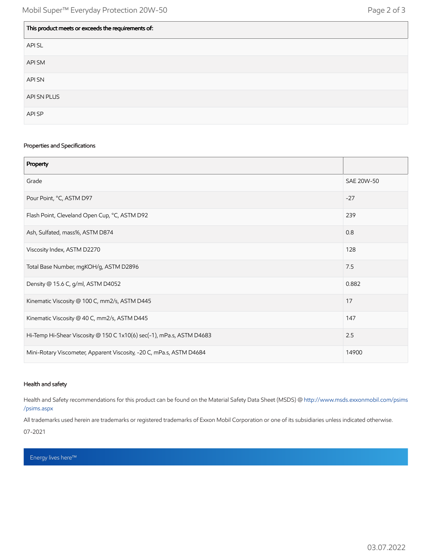| This product meets or exceeds the requirements of: |
|----------------------------------------------------|
| API SL                                             |
| API SM                                             |
| API SN                                             |
| API SN PLUS                                        |
| API SP                                             |

#### Properties and Specifications

| Property                                                              |            |
|-----------------------------------------------------------------------|------------|
| Grade                                                                 | SAE 20W-50 |
| Pour Point, °C, ASTM D97                                              | $-27$      |
| Flash Point, Cleveland Open Cup, °C, ASTM D92                         | 239        |
| Ash, Sulfated, mass%, ASTM D874                                       | 0.8        |
| Viscosity Index, ASTM D2270                                           | 128        |
| Total Base Number, mgKOH/g, ASTM D2896                                | 7.5        |
| Density @ 15.6 C, g/ml, ASTM D4052                                    | 0.882      |
| Kinematic Viscosity @ 100 C, mm2/s, ASTM D445                         | 17         |
| Kinematic Viscosity @ 40 C, mm2/s, ASTM D445                          | 147        |
| Hi-Temp Hi-Shear Viscosity @ 150 C 1x10(6) sec(-1), mPa.s, ASTM D4683 | 2.5        |
| Mini-Rotary Viscometer, Apparent Viscosity, -20 C, mPa.s, ASTM D4684  | 14900      |

#### Health and safety

Health and Safety recommendations for this product can be found on the Material Safety Data Sheet (MSDS) @ [http://www.msds.exxonmobil.com/psims](http://www.msds.exxonmobil.com/psims/psims.aspx) /psims.aspx

All trademarks used herein are trademarks or registered trademarks of Exxon Mobil Corporation or one of its subsidiaries unless indicated otherwise. 07-2021